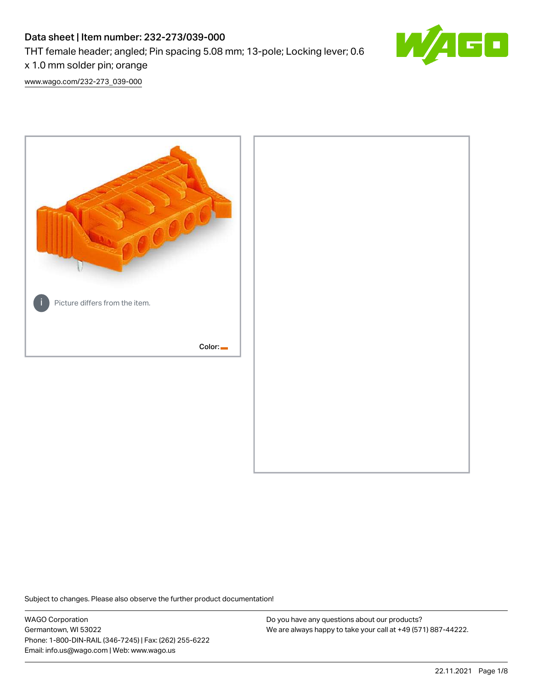# Data sheet | Item number: 232-273/039-000 THT female header; angled; Pin spacing 5.08 mm; 13-pole; Locking lever; 0.6



x 1.0 mm solder pin; orange [www.wago.com/232-273\\_039-000](http://www.wago.com/232-273_039-000)



Subject to changes. Please also observe the further product documentation!

WAGO Corporation Germantown, WI 53022 Phone: 1-800-DIN-RAIL (346-7245) | Fax: (262) 255-6222 Email: info.us@wago.com | Web: www.wago.us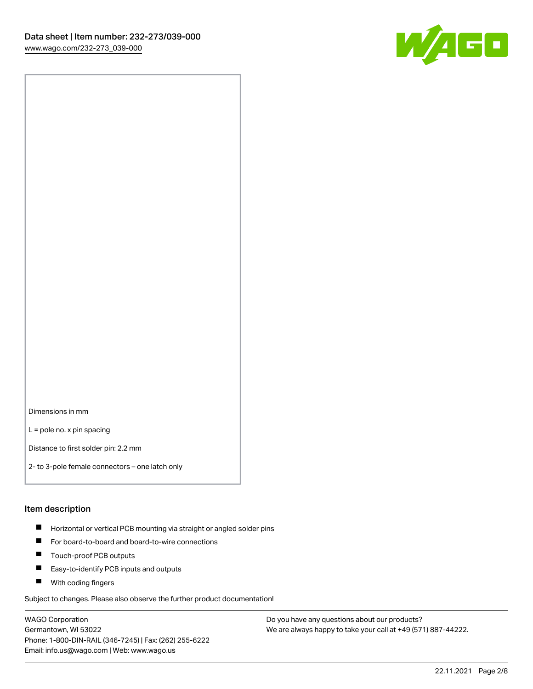

Dimensions in mm

L = pole no. x pin spacing

Distance to first solder pin: 2.2 mm

2- to 3-pole female connectors – one latch only

#### Item description

- **Horizontal or vertical PCB mounting via straight or angled solder pins**
- For board-to-board and board-to-wire connections
- $\blacksquare$ Touch-proof PCB outputs
- $\blacksquare$ Easy-to-identify PCB inputs and outputs
- **Now With coding fingers**

Subject to changes. Please also observe the further product documentation!

WAGO Corporation Germantown, WI 53022 Phone: 1-800-DIN-RAIL (346-7245) | Fax: (262) 255-6222 Email: info.us@wago.com | Web: www.wago.us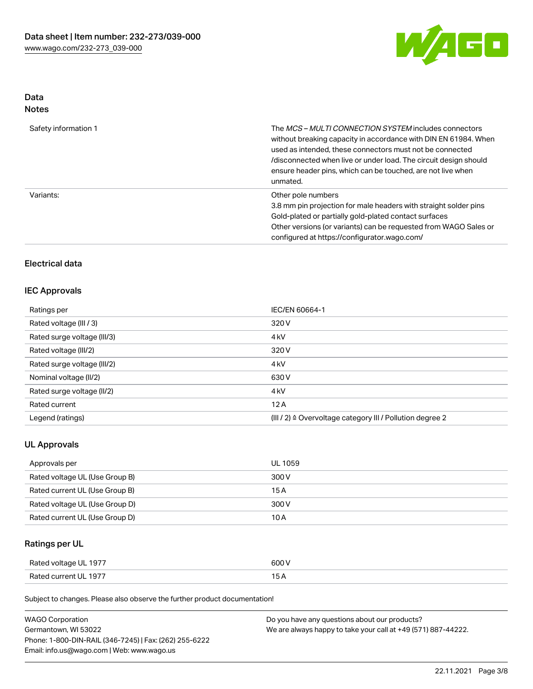

# Data

| Safety information 1 | The <i>MCS – MULTI CONNECTION SYSTEM</i> includes connectors<br>without breaking capacity in accordance with DIN EN 61984. When<br>used as intended, these connectors must not be connected<br>/disconnected when live or under load. The circuit design should<br>ensure header pins, which can be touched, are not live when<br>unmated. |
|----------------------|--------------------------------------------------------------------------------------------------------------------------------------------------------------------------------------------------------------------------------------------------------------------------------------------------------------------------------------------|
| Variants:            | Other pole numbers<br>3.8 mm pin projection for male headers with straight solder pins<br>Gold-plated or partially gold-plated contact surfaces<br>Other versions (or variants) can be requested from WAGO Sales or<br>configured at https://configurator.wago.com/                                                                        |

# Electrical data

## IEC Approvals

| Ratings per                 | IEC/EN 60664-1                                                       |
|-----------------------------|----------------------------------------------------------------------|
| Rated voltage (III / 3)     | 320 V                                                                |
| Rated surge voltage (III/3) | 4 <sub>k</sub> V                                                     |
| Rated voltage (III/2)       | 320 V                                                                |
| Rated surge voltage (III/2) | 4 <sub>k</sub> V                                                     |
| Nominal voltage (II/2)      | 630 V                                                                |
| Rated surge voltage (II/2)  | 4 <sub>k</sub> V                                                     |
| Rated current               | 12A                                                                  |
| Legend (ratings)            | (III / 2) $\triangleq$ Overvoltage category III / Pollution degree 2 |

## UL Approvals

| Approvals per                  | UL 1059 |
|--------------------------------|---------|
| Rated voltage UL (Use Group B) | 300 V   |
| Rated current UL (Use Group B) | 15 A    |
| Rated voltage UL (Use Group D) | 300 V   |
| Rated current UL (Use Group D) | 10 A    |

# Ratings per UL

| Rated voltage UL 1977 | 600 V |
|-----------------------|-------|
| Rated current UL 1977 |       |

Subject to changes. Please also observe the further product documentation!

| <b>WAGO Corporation</b>                                | Do you have any questions about our products?                 |
|--------------------------------------------------------|---------------------------------------------------------------|
| Germantown, WI 53022                                   | We are always happy to take your call at +49 (571) 887-44222. |
| Phone: 1-800-DIN-RAIL (346-7245)   Fax: (262) 255-6222 |                                                               |
| Email: info.us@wago.com   Web: www.wago.us             |                                                               |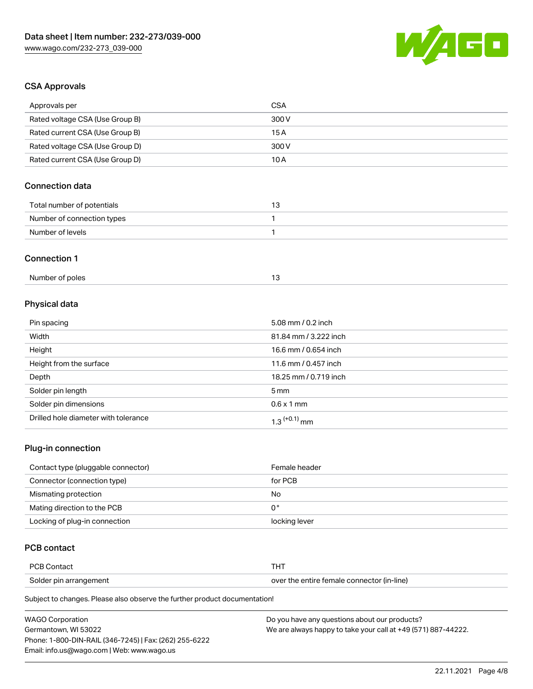

# CSA Approvals

| Approvals per                   | <b>CSA</b>            |  |
|---------------------------------|-----------------------|--|
| Rated voltage CSA (Use Group B) | 300V                  |  |
| Rated current CSA (Use Group B) | 15A                   |  |
| Rated voltage CSA (Use Group D) | 300V                  |  |
| Rated current CSA (Use Group D) | 10A                   |  |
| <b>Connection data</b>          |                       |  |
| Total number of potentials      | 13                    |  |
| Number of connection types      | 1                     |  |
| Number of levels                | $\mathbf{1}$          |  |
| <b>Connection 1</b>             |                       |  |
| Number of poles                 | 13                    |  |
| Physical data                   |                       |  |
| Pin spacing                     | 5.08 mm / 0.2 inch    |  |
| Width                           | 81.84 mm / 3.222 inch |  |
| Height                          | 16.6 mm / 0.654 inch  |  |
| Height from the surface         | 11.6 mm / 0.457 inch  |  |
| Depth                           | 18.25 mm / 0.719 inch |  |
| Solder pin length               | 5 <sub>mm</sub>       |  |
| Solder pin dimensions           | $0.6 \times 1$ mm     |  |

## Plug-in connection

| Contact type (pluggable connector) | Female header |
|------------------------------------|---------------|
| Connector (connection type)        | for PCB       |
| Mismating protection               | No            |
| Mating direction to the PCB        | 0°            |
| Locking of plug-in connection      | locking lever |

# PCB contact

| <b>PCB Contact</b>     |                                            |
|------------------------|--------------------------------------------|
| Solder pin arrangement | over the entire female connector (in-line) |

Subject to changes. Please also observe the further product documentation!

Drilled hole diameter with tolerance  $1.3$   $(+0.1)$  mm

| <b>WAGO Corporation</b>                                | Do you have any questions about our products?                 |
|--------------------------------------------------------|---------------------------------------------------------------|
| Germantown. WI 53022                                   | We are always happy to take your call at +49 (571) 887-44222. |
| Phone: 1-800-DIN-RAIL (346-7245)   Fax: (262) 255-6222 |                                                               |
| Email: info.us@wago.com   Web: www.wago.us             |                                                               |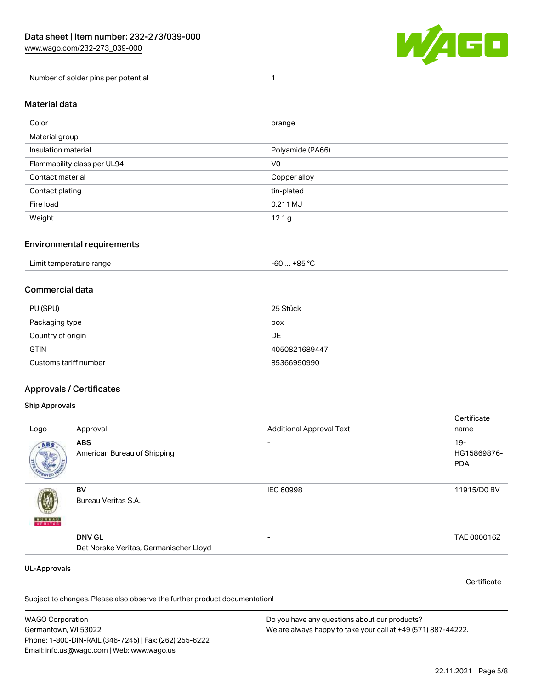

Number of solder pins per potential 1

#### Material data

| Color                       | orange            |
|-----------------------------|-------------------|
| Material group              |                   |
| Insulation material         | Polyamide (PA66)  |
| Flammability class per UL94 | V <sub>0</sub>    |
| Contact material            | Copper alloy      |
| Contact plating             | tin-plated        |
| Fire load                   | 0.211 MJ          |
| Weight                      | 12.1 <sub>g</sub> |

### Environmental requirements

| Limit temperature range<br>. | . +85 °C<br>-60 |  |
|------------------------------|-----------------|--|
|------------------------------|-----------------|--|

## Commercial data

| PU (SPU)              | 25 Stück      |
|-----------------------|---------------|
| Packaging type        | box           |
| Country of origin     | DE            |
| <b>GTIN</b>           | 4050821689447 |
| Customs tariff number | 85366990990   |

## Approvals / Certificates

#### Ship Approvals

| Logo                | Approval                                                | <b>Additional Approval Text</b> | Certificate<br>name                |
|---------------------|---------------------------------------------------------|---------------------------------|------------------------------------|
| ABS.                | <b>ABS</b><br>American Bureau of Shipping               | $\overline{\phantom{0}}$        | $19-$<br>HG15869876-<br><b>PDA</b> |
| <b>BUREAU</b>       | BV<br>Bureau Veritas S.A.                               | IEC 60998                       | 11915/D0 BV                        |
|                     | <b>DNV GL</b><br>Det Norske Veritas, Germanischer Lloyd |                                 | TAE 000016Z                        |
| <b>UL-Approvals</b> |                                                         |                                 | Certificate                        |

Subject to changes. Please also observe the further product documentation!

WAGO Corporation Germantown, WI 53022 Phone: 1-800-DIN-RAIL (346-7245) | Fax: (262) 255-6222 Email: info.us@wago.com | Web: www.wago.us Do you have any questions about our products? We are always happy to take your call at +49 (571) 887-44222.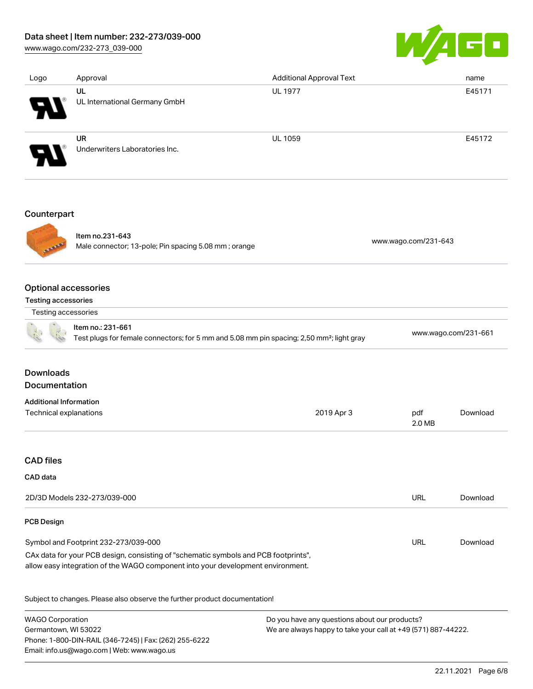## Data sheet | Item number: 232-273/039-000

[www.wago.com/232-273\\_039-000](http://www.wago.com/232-273_039-000)



| Logo                                      | Approval                                             | <b>Additional Approval Text</b> | name                 |
|-------------------------------------------|------------------------------------------------------|---------------------------------|----------------------|
|                                           | UL                                                   | <b>UL 1977</b>                  | E45171               |
|                                           | UL International Germany GmbH                        |                                 |                      |
|                                           | <b>UR</b>                                            | <b>UL 1059</b>                  | E45172               |
|                                           | Underwriters Laboratories Inc.                       |                                 |                      |
|                                           |                                                      |                                 |                      |
|                                           |                                                      |                                 |                      |
|                                           | Item no.231-643                                      |                                 | www.wago.com/231-643 |
|                                           | Male connector; 13-pole; Pin spacing 5.08 mm; orange |                                 |                      |
|                                           | <b>Optional accessories</b>                          |                                 |                      |
| Counterpart<br><b>Testing accessories</b> |                                                      |                                 |                      |
| Testing accessories                       |                                                      |                                 |                      |

#### Downloads Documentation

| <b>Additional Information</b> |            |               |          |
|-------------------------------|------------|---------------|----------|
| Technical explanations        | 2019 Apr 3 | pdf<br>2.0 MB | Download |
|                               |            |               |          |

#### CAD files

## CAD data

| 2D/3D Models 232-273/039-000                                                                                                                                           | URL | Download |
|------------------------------------------------------------------------------------------------------------------------------------------------------------------------|-----|----------|
| <b>PCB Design</b>                                                                                                                                                      |     |          |
| Symbol and Footprint 232-273/039-000                                                                                                                                   | URL | Download |
| CAx data for your PCB design, consisting of "schematic symbols and PCB footprints",<br>allow easy integration of the WAGO component into your development environment. |     |          |

Subject to changes. Please also observe the further product documentation!

WAGO Corporation Germantown, WI 53022 Phone: 1-800-DIN-RAIL (346-7245) | Fax: (262) 255-6222 Email: info.us@wago.com | Web: www.wago.us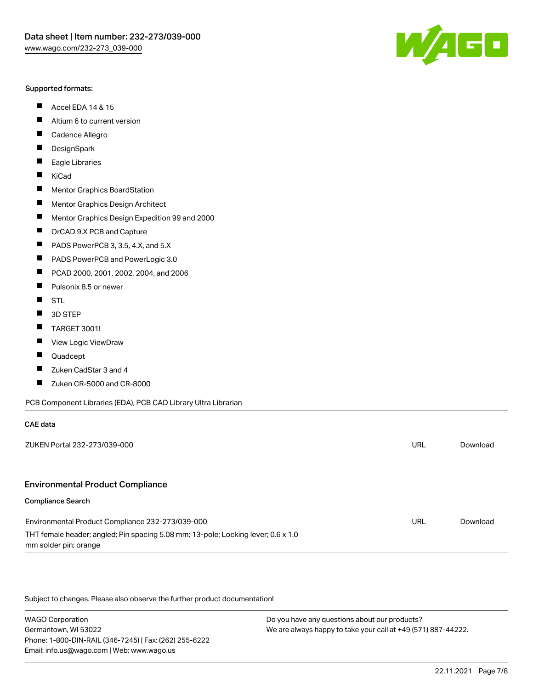#### Supported formats:

- $\blacksquare$ Accel EDA 14 & 15
- $\blacksquare$ Altium 6 to current version
- $\blacksquare$ Cadence Allegro
- $\blacksquare$ **DesignSpark**
- $\blacksquare$ Eagle Libraries
- $\blacksquare$ KiCad
- $\blacksquare$ Mentor Graphics BoardStation
- $\blacksquare$ Mentor Graphics Design Architect
- $\blacksquare$ Mentor Graphics Design Expedition 99 and 2000
- $\blacksquare$ OrCAD 9.X PCB and Capture
- $\blacksquare$ PADS PowerPCB 3, 3.5, 4.X, and 5.X
- $\blacksquare$ PADS PowerPCB and PowerLogic 3.0
- $\blacksquare$ PCAD 2000, 2001, 2002, 2004, and 2006
- $\blacksquare$ Pulsonix 8.5 or newer
- $\blacksquare$ STL
- 3D STEP П
- П TARGET 3001!
- $\blacksquare$ View Logic ViewDraw
- П Quadcept
- Zuken CadStar 3 and 4  $\blacksquare$
- Zuken CR-5000 and CR-8000 П

#### PCB Component Libraries (EDA), PCB CAD Library Ultra Librarian

| CAE data                                                                                                   |     |          |
|------------------------------------------------------------------------------------------------------------|-----|----------|
| ZUKEN Portal 232-273/039-000                                                                               | URL | Download |
|                                                                                                            |     |          |
| <b>Environmental Product Compliance</b>                                                                    |     |          |
| <b>Compliance Search</b>                                                                                   |     |          |
| Environmental Product Compliance 232-273/039-000                                                           | URL | Download |
| THT female header; angled; Pin spacing 5.08 mm; 13-pole; Locking lever; 0.6 x 1.0<br>mm solder pin; orange |     |          |

Subject to changes. Please also observe the further product documentation!

WAGO Corporation Germantown, WI 53022 Phone: 1-800-DIN-RAIL (346-7245) | Fax: (262) 255-6222 Email: info.us@wago.com | Web: www.wago.us